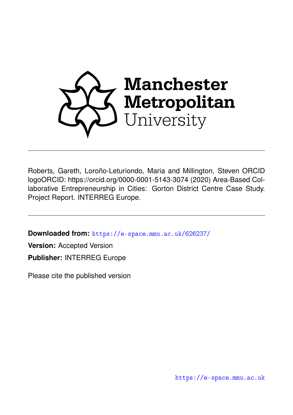

Roberts, Gareth, Loroño-Leturiondo, Maria and Millington, Steven ORCID logoORCID: https://orcid.org/0000-0001-5143-3074 (2020) Area-Based Collaborative Entrepreneurship in Cities: Gorton District Centre Case Study. Project Report. INTERREG Europe.

**Downloaded from:** <https://e-space.mmu.ac.uk/626237/>

**Version:** Accepted Version **Publisher:** INTERREG Europe

Please cite the published version

<https://e-space.mmu.ac.uk>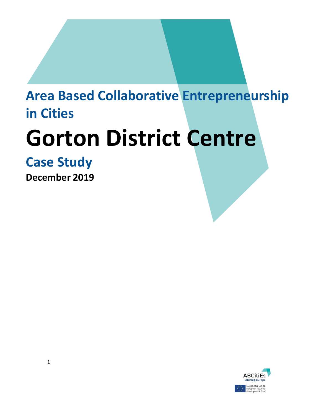# **Area Based Collaborative Entrepreneurship in Cities**

# **Gorton District Centre**

# **Case Study**

**December 2019**

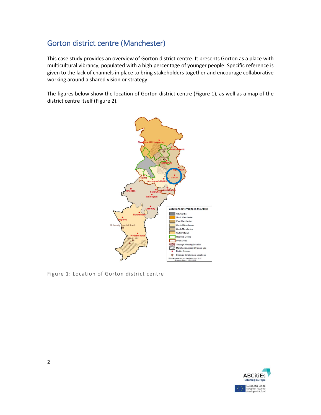# Gorton district centre (Manchester)

This case study provides an overview of Gorton district centre. It presents Gorton as a place with multicultural vibrancy, populated with a high percentage of younger people. Specific reference is given to the lack of channels in place to bring stakeholders together and encourage collaborative working around a shared vision or strategy.

The figures below show the location of Gorton district centre (Figure 1), as well as a map of the district centre itself (Figure 2).



Figure 1: Location of Gorton district centre

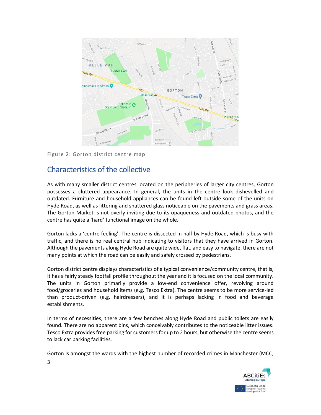

Figure 2: Gorton district centre map

# Characteristics of the collective

As with many smaller district centres located on the peripheries of larger city centres, Gorton possesses a cluttered appearance. In general, the units in the centre look dishevelled and outdated. Furniture and household appliances can be found left outside some of the units on Hyde Road, as well as littering and shattered glass noticeable on the pavements and grass areas. The Gorton Market is not overly inviting due to its opaqueness and outdated photos, and the centre has quite a 'hard' functional image on the whole.

Gorton lacks a 'centre feeling'. The centre is dissected in half by Hyde Road, which is busy with traffic, and there is no real central hub indicating to visitors that they have arrived in Gorton. Although the pavements along Hyde Road are quite wide, flat, and easy to navigate, there are not many points at which the road can be easily and safely crossed by pedestrians.

Gorton district centre displays characteristics of a typical convenience/community centre, that is, it has a fairly steady footfall profile throughout the year and it is focused on the local community. The units in Gorton primarily provide a low-end convenience offer, revolving around food/groceries and household items (e.g. Tesco Extra). The centre seems to be more service-led than product-driven (e.g. hairdressers), and it is perhaps lacking in food and beverage establishments.

In terms of necessities, there are a few benches along Hyde Road and public toilets are easily found. There are no apparent bins, which conceivably contributes to the noticeable litter issues. Tesco Extra provides free parking for customers for up to 2 hours, but otherwise the centre seems to lack car parking facilities.

Gorton is amongst the wards with the highest number of recorded crimes in Manchester (MCC,



3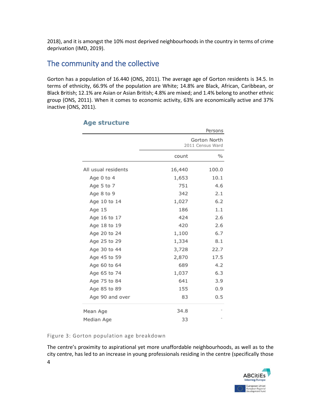2018), and it is amongst the 10% most deprived neighbourhoods in the country in terms of crime deprivation (IMD, 2019).

# The community and the collective

Gorton has a population of 16.440 (ONS, 2011). The average age of Gorton residents is 34.5. In terms of ethnicity, 66.9% of the population are White; 14.8% are Black, African, Caribbean, or Black British; 12.1% are Asian or Asian British; 4.8% are mixed; and 1.4% belong to another ethnic group (ONS, 2011). When it comes to economic activity, 63% are economically active and 37% inactive (ONS, 2011).

|                     | Persons<br>Gorton North<br>2011 Census Ward |       |
|---------------------|---------------------------------------------|-------|
|                     |                                             |       |
|                     | count                                       | $\%$  |
| All usual residents | 16,440                                      | 100.0 |
| Age 0 to 4          | 1,653                                       | 10.1  |
| Age 5 to 7          | 751                                         | 4.6   |
| Age 8 to 9          | 342                                         | 2.1   |
| Age 10 to 14        | 1,027                                       | 6.2   |
| Age 15              | 186                                         | 1.1   |
| Age 16 to 17        | 424                                         | 2.6   |
| Age 18 to 19        | 420                                         | 2.6   |
| Age 20 to 24        | 1,100                                       | 6.7   |
| Age 25 to 29        | 1,334                                       | 8.1   |
| Age 30 to 44        | 3,728                                       | 22.7  |
| Age 45 to 59        | 2,870                                       | 17.5  |
| Age 60 to 64        | 689                                         | 4.2   |
| Age 65 to 74        | 1,037                                       | 6.3   |
| Age 75 to 84        | 641                                         | 3.9   |
| Age 85 to 89        | 155                                         | 0.9   |
| Age 90 and over     | 83                                          | 0.5   |
| Mean Age            | 34.8                                        |       |
| Median Age          | 33                                          |       |

#### **Age structure**

#### Figure 3: Gorton population age breakdown

4 The centre's proximity to aspirational yet more unaffordable neighbourhoods, as well as to the city centre, has led to an increase in young professionals residing in the centre (specifically those

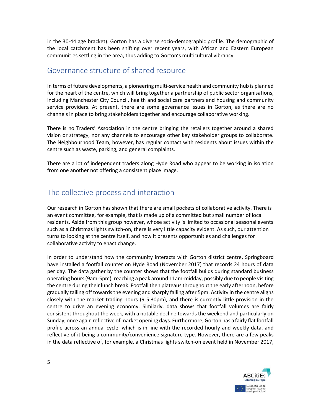in the 30-44 age bracket). Gorton has a diverse socio-demographic profile. The demographic of the local catchment has been shifting over recent years, with African and Eastern European communities settling in the area, thus adding to Gorton's multicultural vibrancy.

#### Governance structure of shared resource

In terms of future developments, a pioneering multi-service health and community hub is planned for the heart of the centre, which will bring together a partnership of public sector organisations, including Manchester City Council, health and social care partners and housing and community service providers. At present, there are some governance issues in Gorton, as there are no channels in place to bring stakeholders together and encourage collaborative working.

There is no Traders' Association in the centre bringing the retailers together around a shared vision or strategy, nor any channels to encourage other key stakeholder groups to collaborate. The Neighbourhood Team, however, has regular contact with residents about issues within the centre such as waste, parking, and general complaints.

There are a lot of independent traders along Hyde Road who appear to be working in isolation from one another not offering a consistent place image.

## The collective process and interaction

Our research in Gorton has shown that there are small pockets of collaborative activity. There is an event committee, for example, that is made up of a committed but small number of local residents. Aside from this group however, whose activity is limited to occasional seasonal events such as a Christmas lights switch-on, there is very little capacity evident. As such, our attention turns to looking at the centre itself, and how it presents opportunities and challenges for collaborative activity to enact change.

In order to understand how the community interacts with Gorton district centre, Springboard have installed a footfall counter on Hyde Road (November 2017) that records 24 hours of data per day. The data gather by the counter shows that the footfall builds during standard business operating hours (9am-5pm), reaching a peak around 11am-midday, possibly due to people visiting the centre during their lunch break. Footfall then plateaus throughout the early afternoon, before gradually tailing off towards the evening and sharply falling after 5pm. Activity in the centre aligns closely with the market trading hours (9-5.30pm), and there is currently little provision in the centre to drive an evening economy. Similarly, data shows that footfall volumes are fairly consistent throughout the week, with a notable decline towards the weekend and particularly on Sunday, once again reflective of market opening days. Furthermore, Gorton has a fairly flat footfall profile across an annual cycle, which is in line with the recorded hourly and weekly data, and reflective of it being a community/convenience signature type. However, there are a few peaks in the data reflective of, for example, a Christmas lights switch-on event held in November 2017,

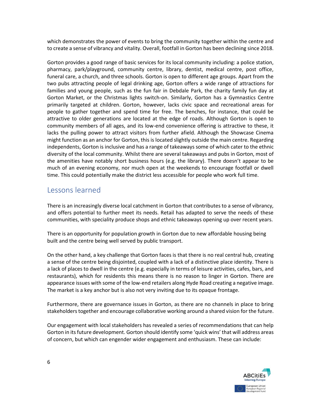which demonstrates the power of events to bring the community together within the centre and to create a sense of vibrancy and vitality. Overall, footfall in Gorton has been declining since 2018.

Gorton provides a good range of basic services for its local community including: a police station, pharmacy, park/playground, community centre, library, dentist, medical centre, post office, funeral care, a church, and three schools. Gorton is open to different age groups. Apart from the two pubs attracting people of legal drinking age, Gorton offers a wide range of attractions for families and young people, such as the fun fair in Debdale Park, the charity family fun day at Gorton Market, or the Christmas lights switch-on. Similarly, Gorton has a Gymnastics Centre primarily targeted at children. Gorton, however, lacks civic space and recreational areas for people to gather together and spend time for free. The benches, for instance, that could be attractive to older generations are located at the edge of roads. Although Gorton is open to community members of all ages, and its low-end convenience offering is attractive to these, it lacks the pulling power to attract visitors from further afield. Although the Showcase Cinema might function as an anchor for Gorton, this is located slightly outside the main centre. Regarding independents, Gorton is inclusive and has a range of takeaways some of which cater to the ethnic diversity of the local community. Whilst there are several takeaways and pubs in Gorton, most of the amenities have notably short business hours (e.g. the library). There doesn't appear to be much of an evening economy, nor much open at the weekends to encourage footfall or dwell time. This could potentially make the district less accessible for people who work full time.

## Lessons learned

There is an increasingly diverse local catchment in Gorton that contributes to a sense of vibrancy, and offers potential to further meet its needs. Retail has adapted to serve the needs of these communities, with speciality produce shops and ethnic takeaways opening up over recent years.

There is an opportunity for population growth in Gorton due to new affordable housing being built and the centre being well served by public transport.

On the other hand, a key challenge that Gorton faces is that there is no real central hub, creating a sense of the centre being disjointed, coupled with a lack of a distinctive place identity. There is a lack of places to dwell in the centre (e.g. especially in terms of leisure activities, cafes, bars, and restaurants), which for residents this means there is no reason to linger in Gorton. There are appearance issues with some of the low-end retailers along Hyde Road creating a negative image. The market is a key anchor but is also not very inviting due to its opaque frontage.

Furthermore, there are governance issues in Gorton, as there are no channels in place to bring stakeholders together and encourage collaborative working around a shared vision for the future.

Our engagement with local stakeholders has revealed a series of recommendations that can help Gorton in its future development. Gorton should identify some 'quick wins' that will address areas of concern, but which can engender wider engagement and enthusiasm. These can include: